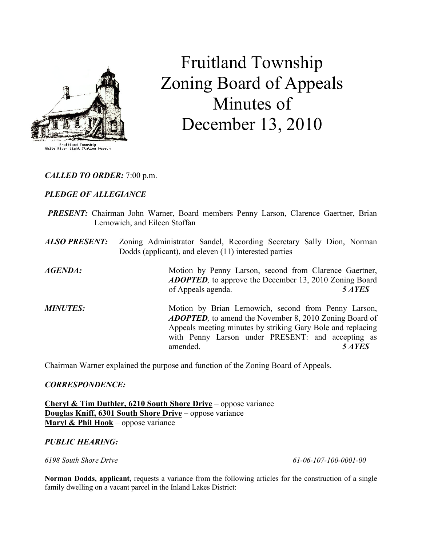

# Fruitland Township Zoning Board of Appeals Minutes of December 13, 2010

CALLED TO ORDER: 7:00 p.m.

# PLEDGE OF ALLEGIANCE

- PRESENT: Chairman John Warner, Board members Penny Larson, Clarence Gaertner, Brian Lernowich, and Eileen Stoffan
- ALSO PRESENT: Zoning Administrator Sandel, Recording Secretary Sally Dion, Norman Dodds (applicant), and eleven (11) interested parties

AGENDA: Motion by Penny Larson, second from Clarence Gaertner, ADOPTED, to approve the December 13, 2010 Zoning Board of Appeals agenda. 5 AYES

**MINUTES:** Motion by Brian Lernowich, second from Penny Larson, **ADOPTED**, to amend the November 8, 2010 Zoning Board of Appeals meeting minutes by striking Gary Bole and replacing with Penny Larson under PRESENT: and accepting as amended 5 AYES

Chairman Warner explained the purpose and function of the Zoning Board of Appeals.

# CORRESPONDENCE:

Cheryl & Tim Duthler, 6210 South Shore Drive – oppose variance Douglas Kniff, 6301 South Shore Drive – oppose variance Maryl  $&$  Phil Hook – oppose variance

# PUBLIC HEARING:

6198 South Shore Drive 61-06-107-100-0001-00

Norman Dodds, applicant, requests a variance from the following articles for the construction of a single family dwelling on a vacant parcel in the Inland Lakes District: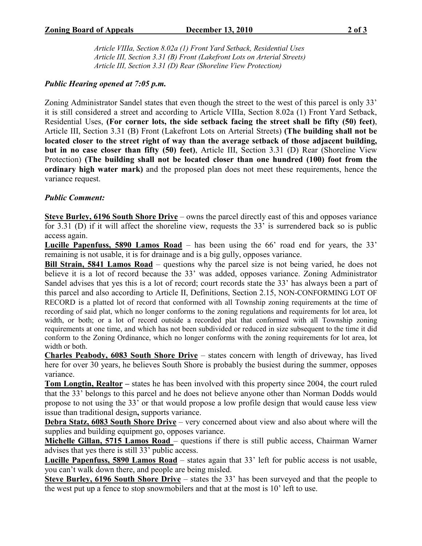Article VIIIa, Section 8.02a (1) Front Yard Setback, Residential Uses Article III, Section 3.31 (B) Front (Lakefront Lots on Arterial Streets) Article III, Section 3.31 (D) Rear (Shoreline View Protection)

### Public Hearing opened at 7:05 p.m.

Zoning Administrator Sandel states that even though the street to the west of this parcel is only 33' it is still considered a street and according to Article VIIIa, Section 8.02a (1) Front Yard Setback, Residential Uses, (For corner lots, the side setback facing the street shall be fifty (50) feet), Article III, Section 3.31 (B) Front (Lakefront Lots on Arterial Streets) (The building shall not be located closer to the street right of way than the average setback of those adjacent building, but in no case closer than fifty (50) feet), Article III, Section 3.31 (D) Rear (Shoreline View Protection) (The building shall not be located closer than one hundred (100) foot from the ordinary high water mark) and the proposed plan does not meet these requirements, hence the variance request.

### Public Comment:

Steve Burley, 6196 South Shore Drive – owns the parcel directly east of this and opposes variance for 3.31 (D) if it will affect the shoreline view, requests the 33' is surrendered back so is public access again.

Lucille Papenfuss, 5890 Lamos Road – has been using the  $66'$  road end for years, the 33' remaining is not usable, it is for drainage and is a big gully, opposes variance.

Bill Strain, 5841 Lamos Road – questions why the parcel size is not being varied, he does not believe it is a lot of record because the 33' was added, opposes variance. Zoning Administrator Sandel advises that yes this is a lot of record; court records state the 33' has always been a part of this parcel and also according to Article II, Definitions, Section 2.15, NON-CONFORMING LOT OF RECORD is a platted lot of record that conformed with all Township zoning requirements at the time of recording of said plat, which no longer conforms to the zoning regulations and requirements for lot area, lot width, or both; or a lot of record outside a recorded plat that conformed with all Township zoning requirements at one time, and which has not been subdivided or reduced in size subsequent to the time it did conform to the Zoning Ordinance, which no longer conforms with the zoning requirements for lot area, lot width or both.

Charles Peabody, 6083 South Shore Drive – states concern with length of driveway, has lived here for over 30 years, he believes South Shore is probably the busiest during the summer, opposes variance.

Tom Longtin, Realtor – states he has been involved with this property since 2004, the court ruled that the 33' belongs to this parcel and he does not believe anyone other than Norman Dodds would propose to not using the 33' or that would propose a low profile design that would cause less view issue than traditional design, supports variance.

Debra Statz, 6083 South Shore Drive – very concerned about view and also about where will the supplies and building equipment go, opposes variance.

Michelle Gillan, 5715 Lamos Road – questions if there is still public access, Chairman Warner advises that yes there is still 33' public access.

Lucille Papenfuss, 5890 Lamos Road – states again that 33' left for public access is not usable, you can't walk down there, and people are being misled.

Steve Burley, 6196 South Shore Drive – states the 33' has been surveyed and that the people to the west put up a fence to stop snowmobilers and that at the most is 10' left to use.